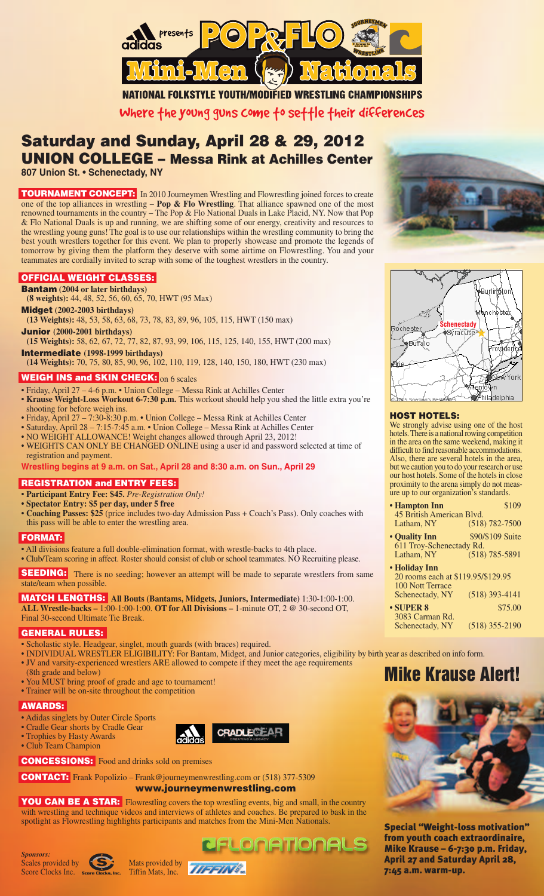

**NATIONAL FOLKSTYLE YOUTH/MODIFIED WRESTLING CHAMPIONSHIPS** 

Where the young guns come to settle their differences

## **Saturday and Sunday, April 28 & 29, 2012 UNION COLLEGE – Messa Rink at Achilles Center**

**807 Union St. • Schenectady, NY**

**TOURNAMENT CONCEPT:** In 2010 Journeymen Wrestling and Flowrestling joined forces to create one of the top alliances in wrestling – **Pop & Flo Wrestling**. That alliance spawned one of the most renowned tournaments in the country – The Pop & Flo National Duals in Lake Placid, NY. Now that Pop & Flo National Duals is up and running, we are shifting some of our energy, creativity and resources to the wrestling young guns! The goal is to use our relationships within the wrestling community to bring the best youth wrestlers together for this event. We plan to properly showcase and promote the legends of tomorrow by giving them the platform they deserve with some airtime on Flowrestling. You and your teammates are cordially invited to scrap with some of the toughest wrestlers in the country.

#### **OFFICIAL WEIGHT CLASSES:**

**Bantam (2004 or later birthdays)**

**(8 weights):** 44, 48, 52, 56, 60, 65, 70, HWT (95 Max)

**Midget (2002-2003 birthdays)**

**(13 Weights):** 48, 53, 58, 63, 68, 73, 78, 83, 89, 96, 105, 115, HWT (150 max) **Junior (2000-2001 birthdays)**

**(15 Weights):** 58, 62, 67, 72, 77, 82, 87, 93, 99, 106, 115, 125, 140, 155, HWT (200 max) **Intermediate (1998-1999 birthdays)**

**(14 Weights):** 70, 75, 80, 85, 90, 96, 102, 110, 119, 128, 140, 150, 180, HWT (230 max)

#### **WEIGH INS and SKIN CHECK:** on 6 scales

- Friday, April 27 4-6 p.m. Union College Messa Rink at Achilles Center
- **Krause Weight-Loss Workout 6-7:30 p.m.** This workout should help you shed the little extra you're shooting for before weigh ins.
- Friday, April 27 7:30-8:30 p.m. Union College Messa Rink at Achilles Center
- Saturday, April 28 7:15-7:45 a.m. Union College Messa Rink at Achilles Center
- NO WEIGHT ALLOWANCE! Weight changes allowed through April 23, 2012!
- WEIGHTS CAN ONLY BE CHANGED ONLINE using a user id and password selected at time of registration and payment.

#### **Wrestling begins at 9 a.m. on Sat., April 28 and 8:30 a.m. on Sun., April 29**

**REGISTRATION and ENTRY FEES:**

- **Participant Entry Fee: \$45.** *Pre-Registration Only!*
- **• Spectator Entry: \$5 per day, under 5 free**
- **Coaching Passes: \$25** (price includes two-day Admission Pass + Coach's Pass). Only coaches with this pass will be able to enter the wrestling area.

#### **FORMAT:**

• All divisions feature a full double-elimination format, with wrestle-backs to 4th place. • Club/Team scoring in affect. Roster should consist of club or school teammates. NO Recruiting please.

**SEEDING:** There is no seeding; however an attempt will be made to separate wrestlers from same state/team when possible.

**MATCH LENGTHS: All Bouts (Bantams, Midgets, Juniors, Intermediate)** 1:30-1:00-1:00. **ALL Wrestle-backs –** 1:00-1:00-1:00. **OT for All Divisions –** 1-minute OT, 2 @ 30-second OT, Final 30-second Ultimate Tie Break.

#### **GENERAL RULES:**

- Scholastic style. Headgear, singlet, mouth guards (with braces) required.
- INDIVIDUAL WRESTLER ELIGIBILITY: For Bantam, Midget, and Junior categories, eligibility by birth year as described on info form.
- JV and varsity-experienced wrestlers ARE allowed to compete if they meet the age requirements

**CRADLECT** 

**PFLONATIONALS** 

- (8th grade and below)
- You MUST bring proof of grade and age to tournament!
- Trainer will be on-site throughout the competition

### **AWARDS:**

• Adidas singlets by Outer Circle Sports

- Cradle Gear shorts by Cradle Gear
- Trophies by Hasty Awards
- Club Team Champion
	-



**CONTACT:** Frank Popolizio – Frank@journeymenwrestling.com or (518) 377-5309

**www.journeymenwrestling.com**

**YOU CAN BE A STAR:** Flowrestling covers the top wrestling events, big and small, in the country with wrestling and technique videos and interviews of athletes and coaches. Be prepared to bask in the spotlight as Flowrestling highlights participants and matches from the Mini-Men Nationals. **Special "Weight-loss motivation"**











#### **HOST HOTELS:**

We strongly advise using one of the host hotels. There is a national rowing competition in the area on the same weekend, making it difficult to find reasonable accommodations. Also, there are several hotels in the area, but we caution you to do your research or use our host hotels. Some of the hotels in close proximity to the arena simply do not meas ure up to our organization's standards.

| • Hampton Inn             | \$109              |
|---------------------------|--------------------|
| 45 British American Blvd. |                    |
| Latham, NY                | $(518) 782 - 7500$ |

- **Quality Inn** \$90/\$109 Suite 611 Troy-Schenectady Rd.  $(518) 785 - 5891$
- **Holiday Inn** 20 rooms each at \$119.95/\$129.95 100 Nott Terrace Schenectady, NY (518) 393-4141 **• SUPER 8** \$75.00 3083 Carman Rd. Schenectady, NY (518) 355-2190
- **Mike Krause Alert!**



**from youth coach extraordinaire, Mike Krause – 6-7:30 p.m. Friday, April 27 and Saturday April 28, 7:45 a.m. warm-up.**